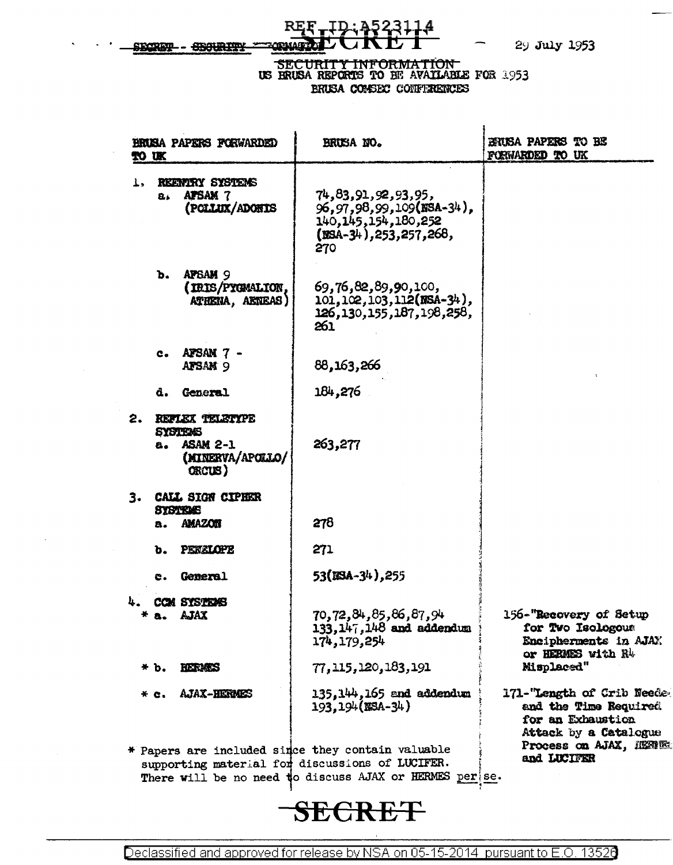29 July 1953

#### \_ID **REF** SECRET - SECURITY **MENIAR**

## SECURITY INFORMATION US BRUSA REPORTS TO BE AVAILABLE FOR 1953 BRUSA CONSEX CONFERENCES

| <b>BRUSA PAPERS FORWARDED</b><br>TO UK |         |                                                                                    | BRUSA NO.                                                                                                                                                       | BRUSA PAPERS TO BE<br>FORWARDED TO UK                                                            |
|----------------------------------------|---------|------------------------------------------------------------------------------------|-----------------------------------------------------------------------------------------------------------------------------------------------------------------|--------------------------------------------------------------------------------------------------|
| Ţ,                                     | $B_{4}$ | REENTRY SYSTEMS<br><b>APSAM 7</b><br>(POLLUX/ADONIS                                | 74, 83, 91, 92, 93, 95,<br>96, 97, 98, 99, 109 (NSA-34),<br>140, 145, 154, 180, 252<br>$(SSA-34)$ , 253, 257, 268,<br>270                                       |                                                                                                  |
|                                        | ъ.      | APSAM <sub>9</sub><br>(IRIS/PYGMALION,<br>ATHENA, AETEAS)                          | 69,76,82,89,90,100,<br>$101, 102, 103, 112$ (NSA-34),<br>126, 130, 155, 187, 198, 258,<br>261                                                                   |                                                                                                  |
|                                        |         | c. APSAN $7$ -<br>AFSAN <sub>9</sub>                                               | 88,163,266                                                                                                                                                      |                                                                                                  |
|                                        | d.      | <b>General</b>                                                                     | 184,276                                                                                                                                                         |                                                                                                  |
| 2.                                     | а.      | REFLEX TELETYPE<br><b>SYSTEMS</b><br><b>ASAM 2-1</b><br>(MINERVA/APOLLO/<br>ORCUS) | 263,277                                                                                                                                                         |                                                                                                  |
|                                        | a.      | 3. CALL SIGN CIPHER<br><b>SYSTEMS</b><br><b>AMAZON</b>                             | 278                                                                                                                                                             |                                                                                                  |
|                                        | ъ.      | PENELOPE                                                                           | 271                                                                                                                                                             |                                                                                                  |
|                                        | e.      | <b>General</b>                                                                     | 53(MSA-34), 255                                                                                                                                                 |                                                                                                  |
|                                        | * a.    | COM SYSTEVES<br>AJAX                                                               | 70,72,84,85,86,87,94<br>$133, 147, 148$ and addendum<br>174, 179, 254                                                                                           | 156-"Recovery of Setup<br>for Two Isologous<br>Encipherments in AJAX<br>or HERMES with R4        |
|                                        | * b.    | <b>RIBITERS</b>                                                                    | 77, 115, 120, 183, 191                                                                                                                                          | Misplaced"                                                                                       |
|                                        | * с.    | <b>AJAX-HERMES</b>                                                                 | 135.144.165 and addendum<br>193.194(NSA-34)                                                                                                                     | 171-"Length of Crib Neede<br>and the Time Required<br>for an Exhaustion<br>Attack by a Catalogue |
|                                        |         |                                                                                    | * Papers are included since they contain valuable<br>supporting material for discussions of LUCIFER.<br>There will be no need to discuss AJAX or HERMES per se. | Process on AJAX, HERITE<br>and LUCIFER                                                           |

# **SECRET**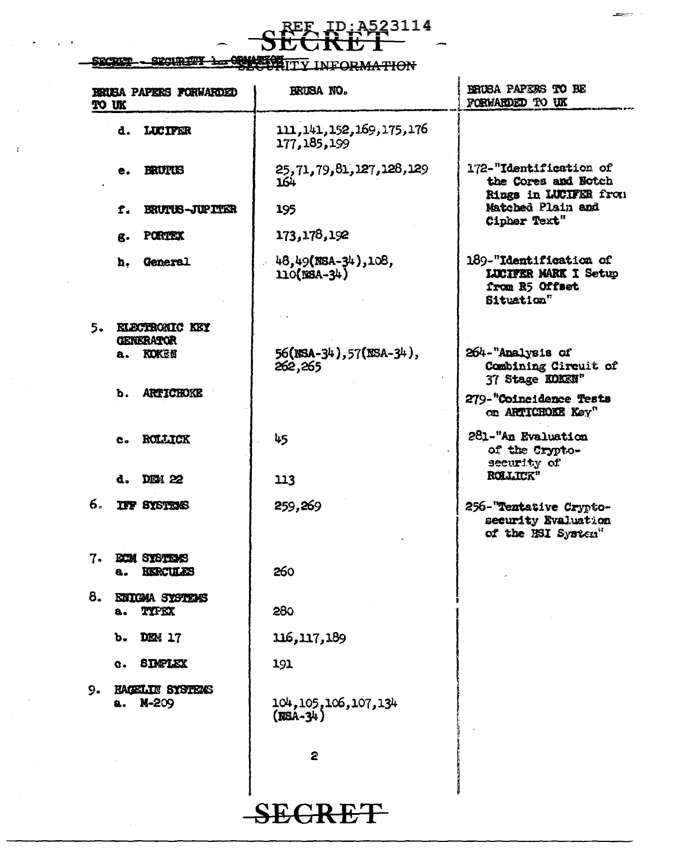## EF ID: A523114<br>CRET Ľ

### SECURETY 1 COMPETINTY INFORMATION SRCRICE

|    | <b>BRUSA PAPERS FORWARDED</b><br>TO UK        | BRUSA NO.                                     | BRUSA PAPERS TO BE<br>FORWARDED TO UK                                                 |
|----|-----------------------------------------------|-----------------------------------------------|---------------------------------------------------------------------------------------|
|    | d. LUCIFER                                    | 111, 141, 152, 169, 175, 176<br>177, 185, 199 |                                                                                       |
|    | BRUTCH<br>e.                                  | 25, 71, 79, 81, 127, 128, 129<br>164          | 172-"Identification of<br>the Cores and Notch<br>Rings in LUCIFER from                |
|    | BRUTUS-JUPITER<br>f.                          | 195                                           | Matched Plain and<br>Cipher Text"                                                     |
|    | <b>PORTEX</b><br>g.                           | 173,178,192                                   |                                                                                       |
|    | <b>General</b><br>ħ.                          | 48,49(NSA-34),108,<br>$110$ (NSA-34)          | 189-"Identification of<br><b>LUCIFER MARK I Setup</b><br>from R5 Offset<br>Situation" |
| 5. | <b>KLECTRONIC KEY</b>                         |                                               |                                                                                       |
|    | <b>GENERATOR</b><br><b>KOKEN</b><br>а.        | 56(NSA-34), 57(NSA-34),<br>262,265            | 264-"Analysis of<br>Combining Circuit of<br>37 Stage KOKEN"                           |
|    | <b>ARTICHOKE</b><br>Ъ.                        |                                               | 279-"Coincidence Tests<br>on ARTICHOKE Key"                                           |
|    | ROLLICK<br>e.                                 | 45                                            | 281-"An Evaluation<br>of the Crypto-<br>security of                                   |
|    | DEM 22<br>d.                                  | 113                                           | ROLLICK"                                                                              |
| б. | <b>IFF SYSTEMS</b>                            | 259,269                                       | 256-"Tentative Crypto-<br>security Evaluation<br>of the ISI System"                   |
| 7. | <b>ECM SYSTEMS</b><br><b>FUERCIA ASS</b><br>a | 260                                           |                                                                                       |
| 8. | ENIGMA SYSTEMS<br>TYFEX<br>8.                 | 280                                           |                                                                                       |
|    | DEM: 17<br>ъ.                                 | 116,117,189                                   |                                                                                       |
|    | <b>SIMPLEX</b><br>c.                          | 191                                           |                                                                                       |
| 9. | <b>HAGELIN SYSTEMS</b><br>M-209<br>а.         | 104, 105, 106, 107, 134<br>$(MSA-34)$         |                                                                                       |
|    |                                               | 2                                             |                                                                                       |

**SEGRET**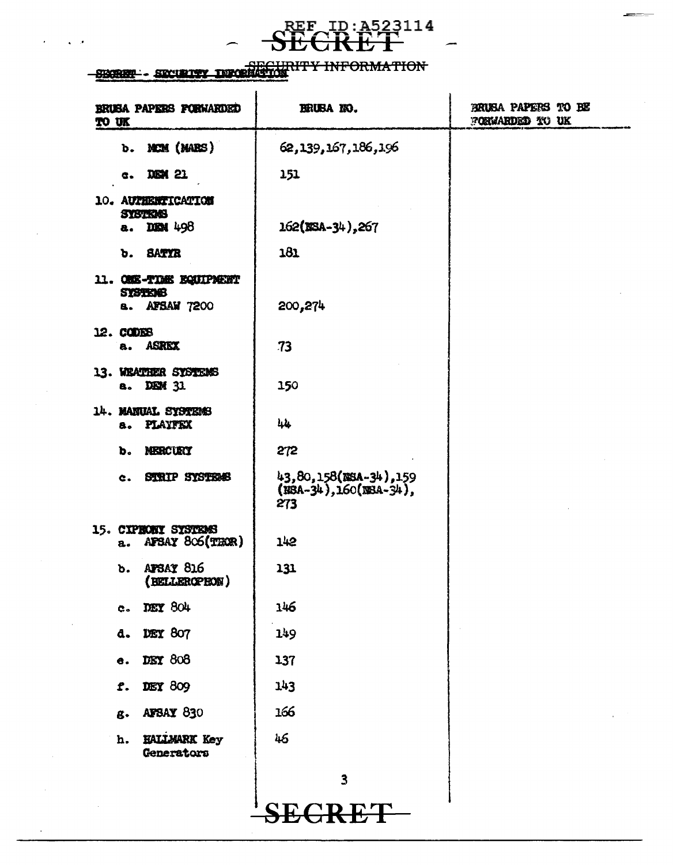# **SECRET** 10: A523114

# SECURITY INFORMATION

 $\sqrt{2}$ 

| BRUSA PAPERS FORWARDED<br>to uk                                     | BRUBANO.                                                   | BRUSA PAPERS TO BE<br>FORWARDED TO UK |
|---------------------------------------------------------------------|------------------------------------------------------------|---------------------------------------|
| b. MCM (MARS)                                                       | 62,139,167,186,196                                         |                                       |
| c. DEM 21                                                           | 151                                                        |                                       |
| 10. AUTHENTICATION<br><b>SYSTEMS</b>                                |                                                            |                                       |
| DIEN 498<br>a.                                                      | 162(BSA-34), 267                                           |                                       |
| <b>SATYR</b><br>b.                                                  | 181                                                        |                                       |
| 11. ONE-TIME EQUIPMENT<br><b>SYSTEMS</b><br><b>AFSAW 7200</b><br>8. | 200,274                                                    |                                       |
| 12. CODES<br>a. ASREX                                               | 73                                                         |                                       |
| 13. WEATHER SYSTEMS<br>a. DEM 31                                    | 150                                                        |                                       |
| 14. MANUAL SYSTEMS<br>a. PLAYFEX                                    | 44                                                         |                                       |
| MERCURT<br>b.                                                       | 272                                                        |                                       |
| <b>STRIP SYSTEMS</b><br>e.                                          | $43,80,158$ (NSA-34), 159<br>(NSA-34), 160(NSA-34),<br>273 |                                       |
| 15. CIPRONI SYSTEMS<br>AFSAY 806(THOR)<br>$\mathbf{a}$ .            | 142                                                        |                                       |
| AFSAY 816<br>ъ.<br>(BELLEROPEON)                                    | 131                                                        |                                       |
| c. DEY 804                                                          | 146                                                        |                                       |
| <b>DEY 807</b><br>d.                                                | 149                                                        |                                       |
| DEY 808<br>е.                                                       | 137                                                        |                                       |
| DEY 809<br>f.                                                       | 143                                                        |                                       |
| AFSAY 830<br>g.                                                     | 166                                                        |                                       |
| HALLMARK Key<br>h.<br>Generators                                    | 46                                                         |                                       |
|                                                                     | $\overline{\mathbf{3}}$                                    |                                       |
|                                                                     | $C$ R R $\Gamma$                                           |                                       |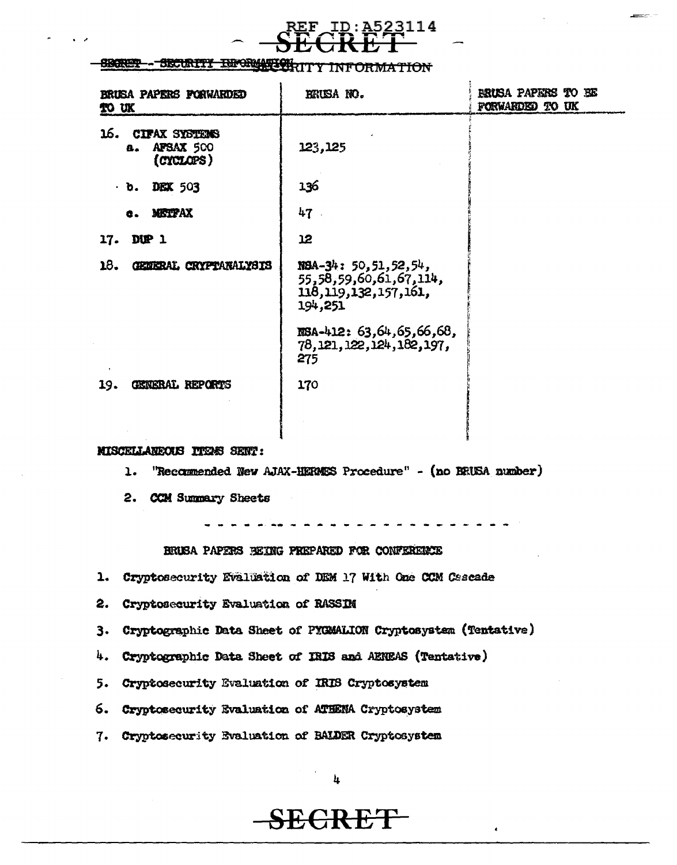

#### --SECURITY INFORMATION **Sickley** M<del>OITAMRA</del>

| BRUSA PAPERS FORWARDED<br>TO UK                             | ERUSA NO.                                                                                  | <b>ERUSA PAPERS TO BE</b><br>FORWARDED TO UK |
|-------------------------------------------------------------|--------------------------------------------------------------------------------------------|----------------------------------------------|
| 16.<br><b>CIFAX SYSTEMS</b><br>AFSAX 500<br>а.<br>(CYCLOPS) | 123,125                                                                                    |                                              |
| $\cdot$ b. DEX 503                                          | 136                                                                                        |                                              |
| <b>METPAX</b><br>e.                                         | 47                                                                                         |                                              |
| DUP 1<br>17.                                                | 12                                                                                         |                                              |
| 18.<br>GENERAL CRYPTANALYSIS                                | $NSA-34: 50, 51, 52, 54,$<br>55,58,59,60,61,67,114,<br>118, 119, 132, 157, 161,<br>194,251 |                                              |
|                                                             | $RSA-412: 63,64,65,66,68$<br>78,121,122,124,182,197,<br>275                                |                                              |
| GENERAL REPORTS<br>19.                                      | 170                                                                                        |                                              |
|                                                             |                                                                                            |                                              |

### MISCELLANEOUS ITERS SENT:

"Recommended New AJAX-HERMES Procedure" - (no BRUSA number)  $\mathbf{L}$ .

2. CCM Summary Sheets

### BRUSA PAPERS BEING FREPARED FOR CONFERENCE

- 1. Cryptosecurity Evaluation of DEM 17 With One CCM Cascade
- $2.$ Cryptosecurity Evaluation of RASSIM
- 3. Cryptographic Data Sheet of PYGMALION Cryptosystem (Tentative)
- 4. Cryptographic Data Sheet of IRIS and AENEAS (Tentative)
- 5. Cryptosecurity Evaluation of IRIS Cryptosystem
- 6. Cryptosecurity Evaluation of ATHENA Cryptosystem
- 7. Cryptosecurity Evaluation of BALDER Cryptosystem

SECRET